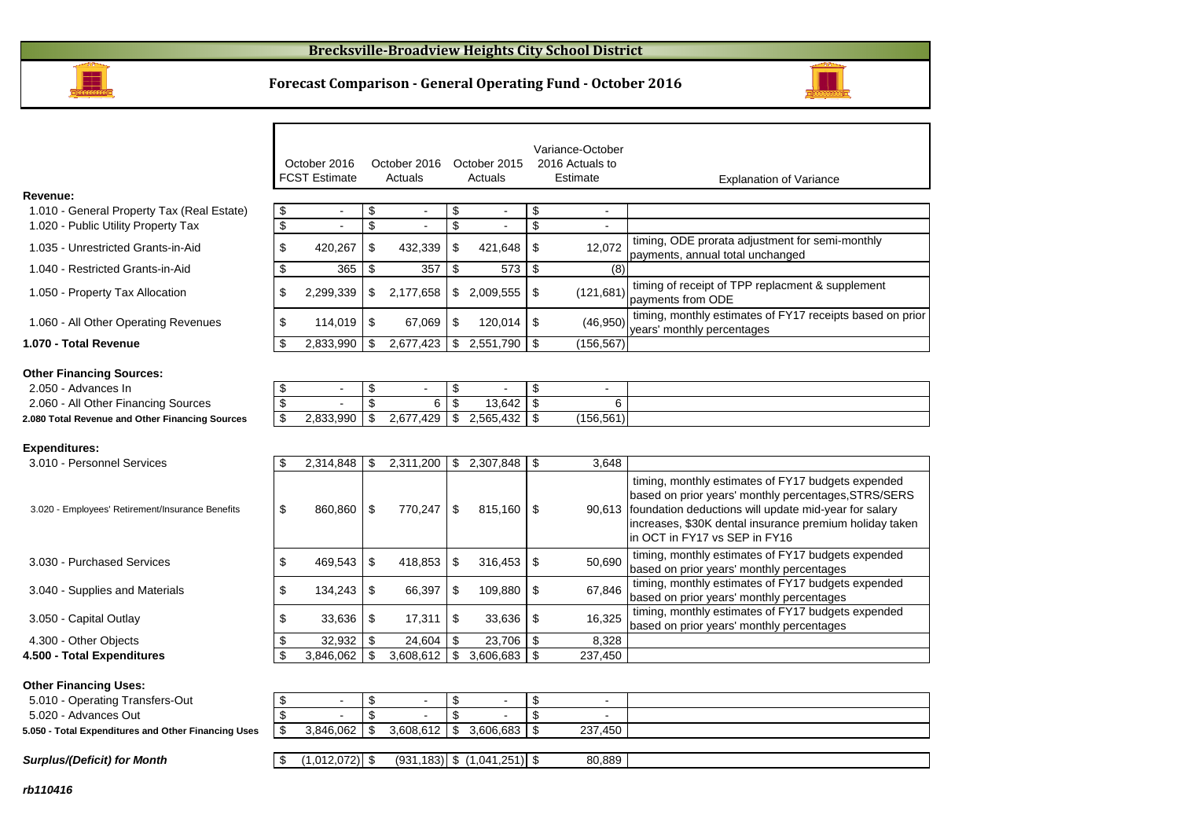

### **Forecast Comparison - General Operating Fund - October 2016**



|                                                     |                         | October 2016<br><b>FCST Estimate</b> |                         | October 2016<br>Actuals |                          | October 2015<br>Actuals |                | Variance-October<br>2016 Actuals to<br>Estimate | <b>Explanation of Variance</b>                                                                                                                                                                                                                                         |
|-----------------------------------------------------|-------------------------|--------------------------------------|-------------------------|-------------------------|--------------------------|-------------------------|----------------|-------------------------------------------------|------------------------------------------------------------------------------------------------------------------------------------------------------------------------------------------------------------------------------------------------------------------------|
| Revenue:                                            |                         |                                      |                         |                         |                          |                         |                |                                                 |                                                                                                                                                                                                                                                                        |
| 1.010 - General Property Tax (Real Estate)          | \$                      | $\blacksquare$                       | \$                      | $\sim$                  | \$                       | $\sim$                  | \$             | $\sim$                                          |                                                                                                                                                                                                                                                                        |
| 1.020 - Public Utility Property Tax                 | $\overline{\mathbf{e}}$ |                                      | \$                      |                         | \$                       |                         | \$             |                                                 |                                                                                                                                                                                                                                                                        |
| 1.035 - Unrestricted Grants-in-Aid                  | \$                      | 420,267                              | \$                      | 432,339                 | \$                       | 421,648                 | \$             | 12,072                                          | timing, ODE prorata adjustment for semi-monthly<br>payments, annual total unchanged                                                                                                                                                                                    |
| 1.040 - Restricted Grants-in-Aid                    | \$                      | 365                                  | \$                      | 357                     | \$                       | 573                     | \$             | (8)                                             |                                                                                                                                                                                                                                                                        |
| 1.050 - Property Tax Allocation                     | \$                      | 2,299,339                            | \$                      | 2,177,658               |                          | \$2,009,555             | \$             | (121, 681)                                      | timing of receipt of TPP replacment & supplement<br>payments from ODE                                                                                                                                                                                                  |
| 1.060 - All Other Operating Revenues                | \$                      | 114,019                              | \$                      | 67,069                  | \$                       | 120,014                 | -\$            | (46, 950)                                       | timing, monthly estimates of FY17 receipts based on prior<br>years' monthly percentages                                                                                                                                                                                |
| 1.070 - Total Revenue                               | \$                      | 2,833,990                            | \$                      | 2,677,423               |                          | \$2,551,790             | -\$            | (156.567)                                       |                                                                                                                                                                                                                                                                        |
| <b>Other Financing Sources:</b>                     |                         |                                      |                         |                         |                          |                         |                |                                                 |                                                                                                                                                                                                                                                                        |
| 2.050 - Advances In                                 | \$                      | $\blacksquare$                       | \$                      | $\sim$                  | \$                       | $\sim$                  | \$             | $\sim$                                          |                                                                                                                                                                                                                                                                        |
| 2.060 - All Other Financing Sources                 | $\overline{\$}$         |                                      | $\overline{\mathbf{s}}$ | 6                       | $\overline{\mathcal{S}}$ | 13.642                  | \$             | 6                                               |                                                                                                                                                                                                                                                                        |
| 2.080 Total Revenue and Other Financing Sources     | \$                      | 2,833,990                            | $\mathfrak{S}$          | 2,677,429               | $\overline{\mathbf{S}}$  | 2,565,432               | \$             | (156, 561)                                      |                                                                                                                                                                                                                                                                        |
|                                                     |                         |                                      |                         |                         |                          |                         |                |                                                 |                                                                                                                                                                                                                                                                        |
| <b>Expenditures:</b>                                |                         |                                      |                         |                         |                          |                         |                |                                                 |                                                                                                                                                                                                                                                                        |
| 3.010 - Personnel Services                          | \$                      | 2,314,848                            | \$                      | 2,311,200               | \$                       | 2,307,848               | -\$            | 3.648                                           |                                                                                                                                                                                                                                                                        |
| 3.020 - Employees' Retirement/Insurance Benefits    | \$                      | 860,860                              | \$                      | 770,247                 | \$                       | 815,160                 | -\$            |                                                 | timing, monthly estimates of FY17 budgets expended<br>based on prior years' monthly percentages, STRS/SERS<br>90,613 foundation deductions will update mid-year for salary<br>increases, \$30K dental insurance premium holiday taken<br>in OCT in FY17 vs SEP in FY16 |
| 3.030 - Purchased Services                          | \$                      | 469,543                              | \$                      | 418,853                 | \$                       | 316,453                 | \$             | 50,690                                          | timing, monthly estimates of FY17 budgets expended<br>based on prior years' monthly percentages                                                                                                                                                                        |
| 3.040 - Supplies and Materials                      | \$                      | 134,243                              | \$                      | 66,397                  | \$                       | 109,880                 | \$             | 67,846                                          | timing, monthly estimates of FY17 budgets expended<br>based on prior years' monthly percentages                                                                                                                                                                        |
| 3.050 - Capital Outlay                              | \$                      | 33,636                               | \$                      | 17,311                  | \$                       | 33,636                  | \$             | 16,325                                          | timing, monthly estimates of FY17 budgets expended<br>based on prior years' monthly percentages                                                                                                                                                                        |
| 4.300 - Other Objects                               | \$                      | 32,932                               | \$                      | 24,604                  | \$                       | 23,706                  | $\sqrt{3}$     | 8,328                                           |                                                                                                                                                                                                                                                                        |
| 4.500 - Total Expenditures                          | $\mathfrak{S}$          | 3.846.062                            | \$                      | 3,608,612               | \$                       | 3,606,683               | - \$           | 237,450                                         |                                                                                                                                                                                                                                                                        |
| <b>Other Financing Uses:</b>                        |                         |                                      |                         |                         |                          |                         |                |                                                 |                                                                                                                                                                                                                                                                        |
| 5.010 - Operating Transfers-Out                     | \$                      | $\blacksquare$                       | \$                      | $\blacksquare$          | \$                       |                         | \$             | $\sim$                                          |                                                                                                                                                                                                                                                                        |
| 5.020 - Advances Out                                | \$                      |                                      | $\mathcal{L}$           |                         | \$                       |                         | $\mathfrak{L}$ |                                                 |                                                                                                                                                                                                                                                                        |
| 5.050 - Total Expenditures and Other Financing Uses | \$                      | 3,846,062                            | \$                      | 3,608,612               | \$                       | 3,606,683               | \$             | 237,450                                         |                                                                                                                                                                                                                                                                        |

 $\boxed{\$}$  (1,012,072) \\ (931,183) \ (1,041,251) \ \ 80,889

#### **rb110416**

**Surplus/(Deficit) for Month**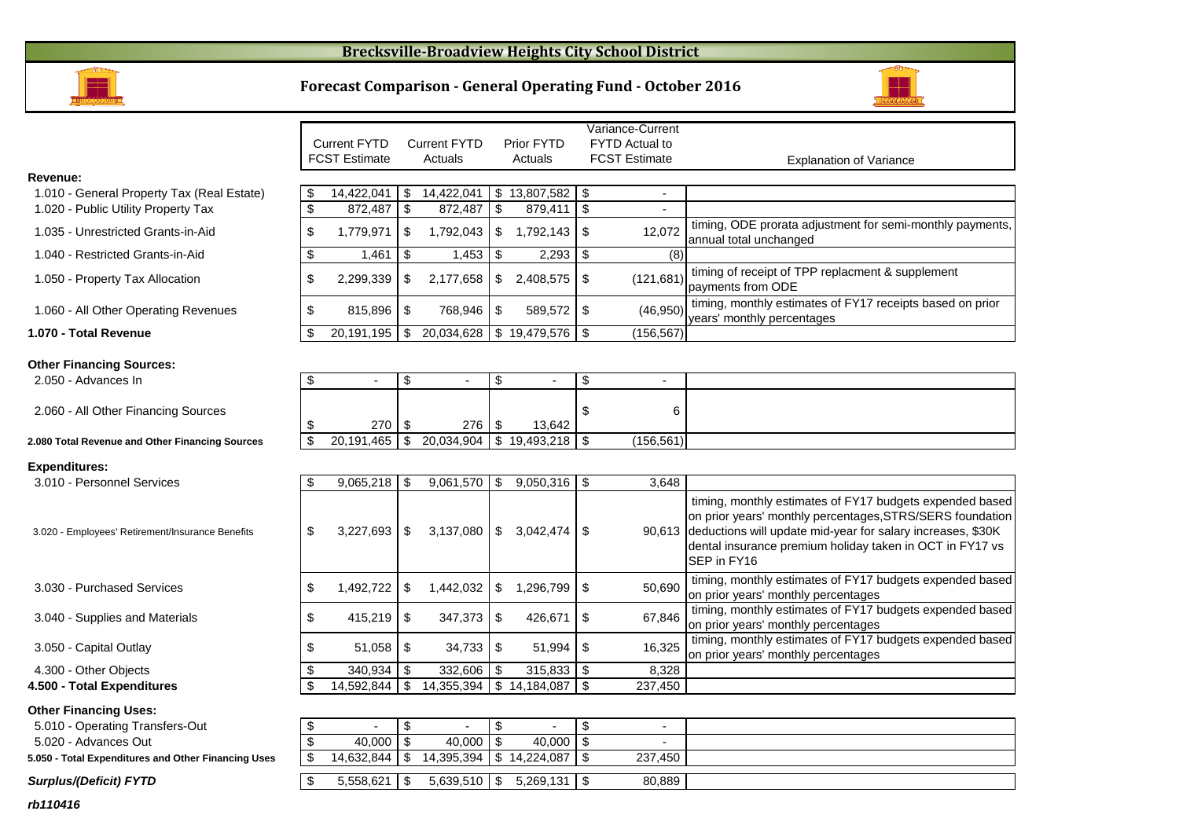## **Brecksville-Broadview Heights City School District**



### **Forecast Comparison - General Operating Fund - October 2016**



|                                                  |                | <b>Current FYTD</b>  |      | <b>Current FYTD</b> |                | Prior FYTD     |               | FYTD Actual to       |                                                                                                                                                                                                                                                                        |
|--------------------------------------------------|----------------|----------------------|------|---------------------|----------------|----------------|---------------|----------------------|------------------------------------------------------------------------------------------------------------------------------------------------------------------------------------------------------------------------------------------------------------------------|
|                                                  |                | <b>FCST Estimate</b> |      | Actuals             |                | Actuals        |               | <b>FCST Estimate</b> | <b>Explanation of Variance</b>                                                                                                                                                                                                                                         |
| Revenue:                                         |                |                      |      |                     |                |                |               |                      |                                                                                                                                                                                                                                                                        |
| 1.010 - General Property Tax (Real Estate)       | - \$           | 14,422,041           | - \$ | 14,422,041          | - \$           | 13,807,582     | -\$           | $\sim$               |                                                                                                                                                                                                                                                                        |
| 1.020 - Public Utility Property Tax              | $\mathfrak{s}$ | 872,487              | \$   | 872,487             | $\mathfrak{S}$ | 879,411        | \$            |                      |                                                                                                                                                                                                                                                                        |
| 1.035 - Unrestricted Grants-in-Aid               | \$             | 1,779,971            | \$   | 1,792,043           | \$             | 1,792,143      | \$            | 12,072               | timing, ODE prorata adjustment for semi-monthly payments,<br>annual total unchanged                                                                                                                                                                                    |
| 1.040 - Restricted Grants-in-Aid                 | \$             | 1,461                | \$   | 1,453               | \$             | 2,293          | $\sqrt[6]{3}$ | (8)                  |                                                                                                                                                                                                                                                                        |
| 1.050 - Property Tax Allocation                  | \$             | 2,299,339            | \$   | 2,177,658           | \$             | 2,408,575      | \$            | (121, 681)           | timing of receipt of TPP replacment & supplement<br>payments from ODE                                                                                                                                                                                                  |
| 1.060 - All Other Operating Revenues             | \$             | 815,896              | \$   | 768,946             | \$             | 589,572        | \$            | (46,950)             | timing, monthly estimates of FY17 receipts based on prior<br>years' monthly percentages                                                                                                                                                                                |
| 1.070 - Total Revenue                            | \$             | 20,191,195           | \$   | 20,034,628          |                | \$19,479,576   | -\$           | (156, 567)           |                                                                                                                                                                                                                                                                        |
| <b>Other Financing Sources:</b>                  |                |                      |      |                     |                |                |               |                      |                                                                                                                                                                                                                                                                        |
| 2.050 - Advances In                              | \$             | $\blacksquare$       | \$   |                     | \$             |                | $\sqrt[6]{3}$ | $\blacksquare$       |                                                                                                                                                                                                                                                                        |
| 2.060 - All Other Financing Sources              | \$             | 270                  | \$   | 276                 | \$             | 13,642         | \$            | 6                    |                                                                                                                                                                                                                                                                        |
| 2.080 Total Revenue and Other Financing Sources  | \$             | 20.191.465           | \$   | 20,034,904          |                | \$19,493,218   | -\$           | (156, 561)           |                                                                                                                                                                                                                                                                        |
|                                                  |                |                      |      |                     |                |                |               |                      |                                                                                                                                                                                                                                                                        |
| <b>Expenditures:</b>                             |                |                      |      |                     |                |                |               |                      |                                                                                                                                                                                                                                                                        |
| 3.010 - Personnel Services                       |                | 9,065,218            | \$   | $9,061,570$ \\$     |                | $9,050,316$ \$ |               | 3,648                |                                                                                                                                                                                                                                                                        |
| 3.020 - Employees' Retirement/Insurance Benefits | \$             | 3,227,693            | \$   | 3,137,080           | $\mathfrak{S}$ | 3,042,474      | \$            |                      | timing, monthly estimates of FY17 budgets expended based<br>on prior years' monthly percentages, STRS/SERS foundation<br>90,613 deductions will update mid-year for salary increases, \$30K<br>dental insurance premium holiday taken in OCT in FY17 vs<br>SEP in FY16 |
| 3.030 - Purchased Services                       | \$             | 1,492,722            | \$   | 1,442,032           | \$             | 1,296,799      | \$            | 50,690               | timing, monthly estimates of FY17 budgets expended based<br>on prior years' monthly percentages                                                                                                                                                                        |
| 3.040 - Supplies and Materials                   | \$             | 415,219              | \$   | 347,373             | \$             | 426,671        | \$            | 67,846               | timing, monthly estimates of FY17 budgets expended based<br>on prior years' monthly percentages                                                                                                                                                                        |
| 3.050 - Capital Outlay                           | \$             | 51,058               | \$   | 34,733              | - \$           | 51,994         | -\$           | 16,325               | timing, monthly estimates of FY17 budgets expended based<br>on prior years' monthly percentages                                                                                                                                                                        |

 $\frac{$}{$}$  340,934  $\frac{$}{$}$  332,606<br> $\frac{$}{$}$  14,592,844  $\frac{$}{$}$  14,355,394

4.300 - Other Objects

**4.500 - Total Expenditures**

#### **Other Financing Uses:**

5.010 - Operating Transfers-Out 5

5.020 - Advances Out

**5.050 - Total Expenditures and Other Financing Uses**

### **Surplus/(Deficit) FYTD**

| ansfers-Out              |            | $\overline{\phantom{0}}$ |               |         |  |
|--------------------------|------------|--------------------------|---------------|---------|--|
|                          | 40,000     | 40,000                   | 40,000        |         |  |
| and Other Financing Uses | 14.632.844 | 14.395.394               | 14.224.087 \$ | 237,450 |  |
|                          |            |                          |               |         |  |
| D                        | 5,558,621  | 5,639,510                |               | 80,889  |  |
|                          |            |                          |               |         |  |

 $\frac{$}{$}$   $\frac{315,833}{$}$   $\frac{$}{$}$   $\frac{8,328}{$}$   $\frac{$}{$}$   $\frac{315,833}{$}$   $\frac{$}{$}$   $\frac{8,328}{237,450}$ 

 $\frac{1}{14,184,087}$  \$

|            |      |            |     | -          |        | $\overline{\phantom{a}}$ |  |
|------------|------|------------|-----|------------|--------|--------------------------|--|
|            |      |            |     |            |        | 6                        |  |
| 270        | - 30 | 276        | -\$ | 13,642     |        |                          |  |
| 20,191,465 | -\$  | 20,034,904 | \$  | 19,493,218 | ₼<br>w | (156, 561)               |  |

Variance-Current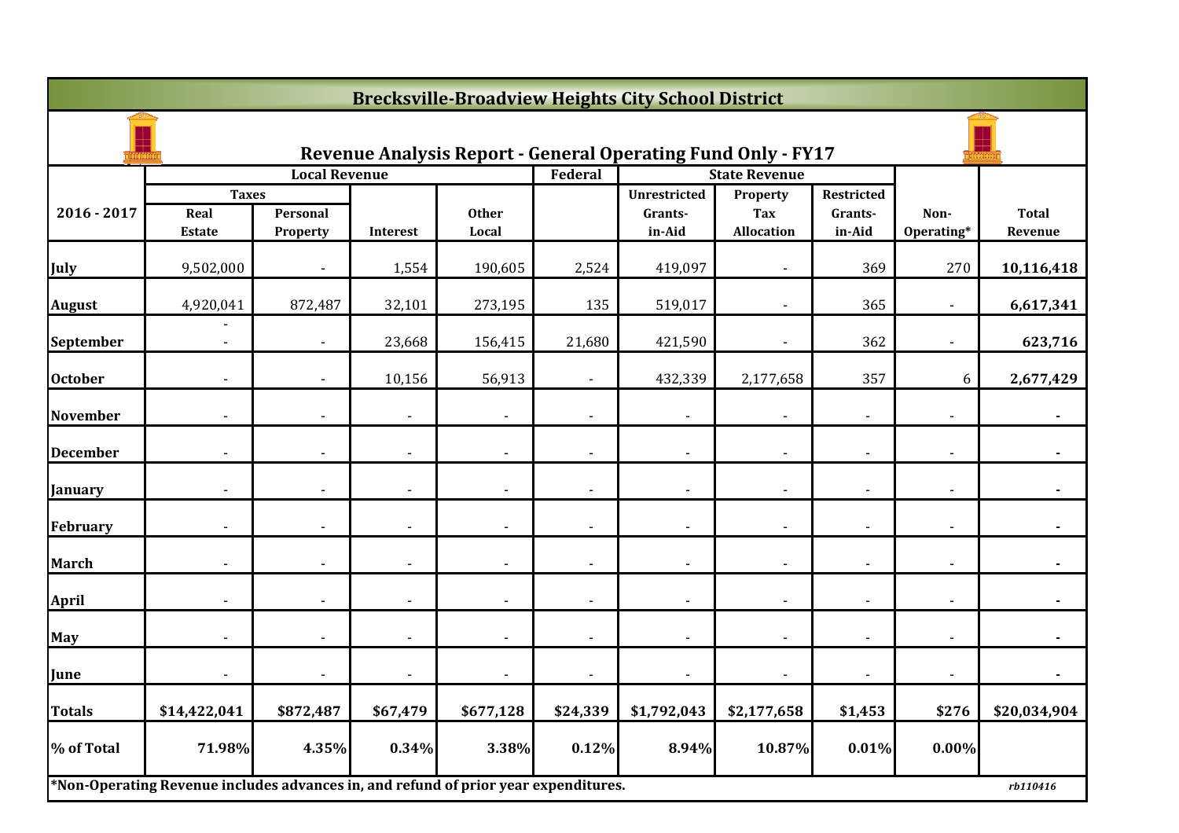| <b>Brecksville-Broadview Heights City School District</b> |                                                                                     |                          |                          |                       |                          |                                                                     |                                             |                                 |                    |                         |  |
|-----------------------------------------------------------|-------------------------------------------------------------------------------------|--------------------------|--------------------------|-----------------------|--------------------------|---------------------------------------------------------------------|---------------------------------------------|---------------------------------|--------------------|-------------------------|--|
|                                                           |                                                                                     |                          |                          |                       |                          | <b>Revenue Analysis Report - General Operating Fund Only - FY17</b> |                                             |                                 |                    |                         |  |
|                                                           |                                                                                     | <b>Local Revenue</b>     |                          |                       | Federal                  |                                                                     | <b>State Revenue</b>                        |                                 |                    |                         |  |
| $2016 - 2017$                                             | <b>Taxes</b><br>Real<br>Estate                                                      | Personal<br>Property     | <b>Interest</b>          | <b>Other</b><br>Local |                          | <b>Unrestricted</b><br>Grants-<br>in-Aid                            | Property<br><b>Tax</b><br><b>Allocation</b> | Restricted<br>Grants-<br>in-Aid | Non-<br>Operating* | <b>Total</b><br>Revenue |  |
| July                                                      | 9,502,000                                                                           |                          | 1,554                    | 190,605               | 2,524                    | 419,097                                                             |                                             | 369                             | 270                | 10,116,418              |  |
| <b>August</b>                                             | 4,920,041                                                                           | 872,487                  | 32,101                   | 273,195               | 135                      | 519,017                                                             |                                             | 365                             |                    | 6,617,341               |  |
| September                                                 | $\blacksquare$                                                                      | $\sim$                   | 23,668                   | 156,415               | 21,680                   | 421,590                                                             | $\blacksquare$                              | 362                             | $\blacksquare$     | 623,716                 |  |
| <b>October</b>                                            |                                                                                     |                          | 10,156                   | 56,913                |                          | 432,339                                                             | 2,177,658                                   | 357                             | 6                  | 2,677,429               |  |
| <b>November</b>                                           |                                                                                     |                          | $\overline{\phantom{a}}$ |                       |                          | $\blacksquare$                                                      |                                             | $\blacksquare$                  |                    |                         |  |
| <b>December</b>                                           |                                                                                     |                          |                          |                       |                          |                                                                     |                                             |                                 |                    |                         |  |
| <b>January</b>                                            |                                                                                     |                          |                          |                       |                          |                                                                     |                                             |                                 |                    |                         |  |
| <b>February</b>                                           | $\overline{\phantom{a}}$                                                            | $\overline{\phantom{a}}$ | $\sim$                   | $\blacksquare$        | $\overline{\phantom{a}}$ | $\sim$                                                              | $\blacksquare$                              | $\overline{\phantom{a}}$        | $\sim$             | $\blacksquare$          |  |
| <b>March</b>                                              |                                                                                     |                          |                          |                       |                          | $\blacksquare$                                                      |                                             |                                 |                    |                         |  |
| <b>April</b>                                              |                                                                                     |                          | $\overline{a}$           |                       |                          | $\overline{\phantom{a}}$                                            |                                             |                                 |                    |                         |  |
| <b>May</b>                                                |                                                                                     |                          | $\blacksquare$           |                       |                          | $\blacksquare$                                                      |                                             |                                 |                    |                         |  |
| June                                                      |                                                                                     |                          | $\blacksquare$           |                       |                          | $\blacksquare$                                                      |                                             |                                 |                    |                         |  |
| <b>Totals</b>                                             | \$14,422,041                                                                        | \$872,487                | \$67,479                 | \$677,128             | \$24,339                 | \$1,792,043                                                         | \$2,177,658                                 | \$1,453                         | \$276              | \$20,034,904            |  |
| % of Total                                                | 71.98%                                                                              | 4.35%                    | 0.34%                    | 3.38%                 | 0.12%                    | 8.94%                                                               | 10.87%                                      | 0.01%                           | $0.00\%$           |                         |  |
|                                                           | *Non-Operating Revenue includes advances in, and refund of prior year expenditures. |                          |                          |                       |                          |                                                                     |                                             |                                 |                    | rb110416                |  |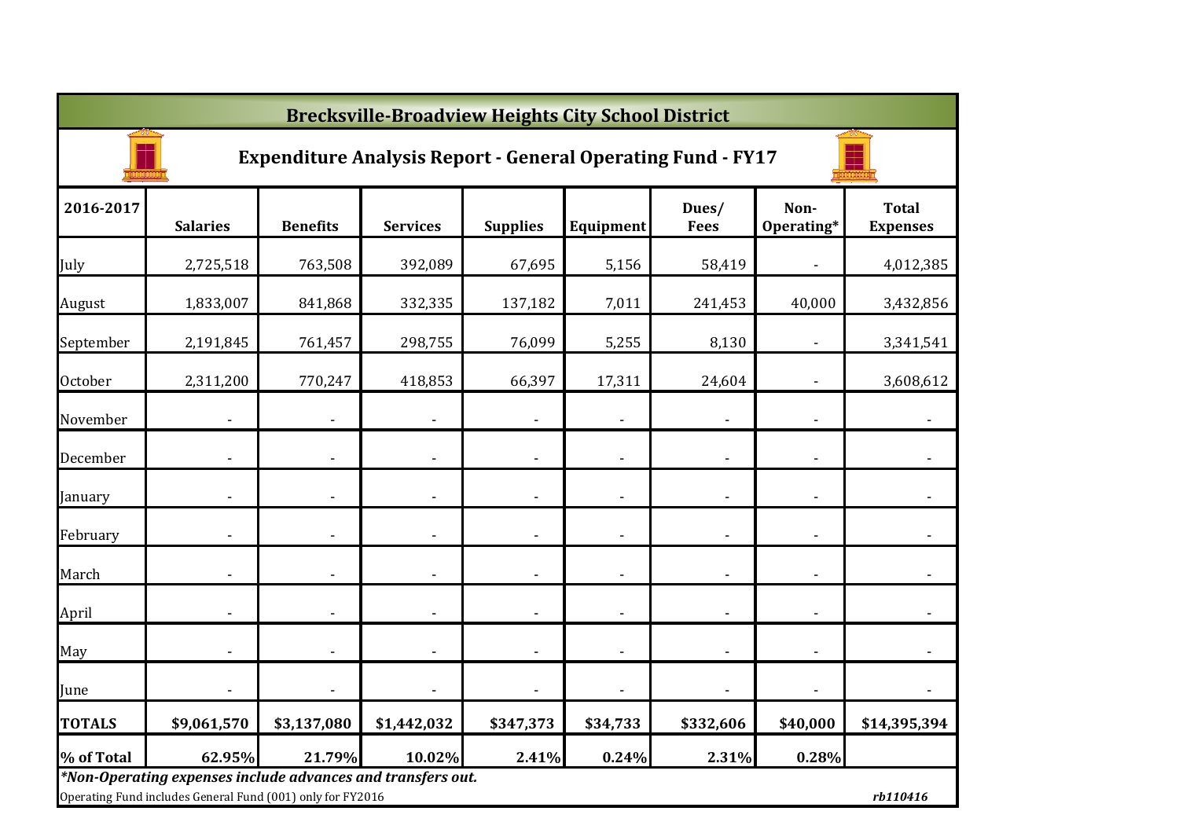|                | <b>Brecksville-Broadview Heights City School District</b>                                                                 |                 |                              |                 |                          |                      |                          |                                 |  |  |  |  |  |
|----------------|---------------------------------------------------------------------------------------------------------------------------|-----------------|------------------------------|-----------------|--------------------------|----------------------|--------------------------|---------------------------------|--|--|--|--|--|
|                | <b>Expenditure Analysis Report - General Operating Fund - FY17</b>                                                        |                 |                              |                 |                          |                      |                          |                                 |  |  |  |  |  |
| 2016-2017      | <b>Salaries</b>                                                                                                           | <b>Benefits</b> | <b>Services</b>              | <b>Supplies</b> | Equipment                | Dues/<br><b>Fees</b> | Non-<br>Operating*       | <b>Total</b><br><b>Expenses</b> |  |  |  |  |  |
| July           | 2,725,518                                                                                                                 | 763,508         | 392,089                      | 67,695          | 5,156                    | 58,419               |                          | 4,012,385                       |  |  |  |  |  |
| August         | 1,833,007                                                                                                                 | 841,868         | 332,335                      | 137,182         | 7,011                    | 241,453              | 40,000                   | 3,432,856                       |  |  |  |  |  |
| September      | 2,191,845                                                                                                                 | 761,457         | 298,755                      | 76,099          | 5,255                    | 8,130                |                          | 3,341,541                       |  |  |  |  |  |
| <b>October</b> | 2,311,200                                                                                                                 | 770,247         | 418,853                      | 66,397          | 17,311                   | 24,604               |                          | 3,608,612                       |  |  |  |  |  |
| November       |                                                                                                                           |                 | $\qquad \qquad \blacksquare$ |                 | $\overline{\phantom{a}}$ |                      | $\overline{\phantom{a}}$ | $\overline{\phantom{a}}$        |  |  |  |  |  |
| December       |                                                                                                                           |                 | $\overline{\phantom{a}}$     |                 | $\overline{\phantom{a}}$ |                      | $\overline{\phantom{a}}$ |                                 |  |  |  |  |  |
| January        |                                                                                                                           |                 | $\blacksquare$               | $\blacksquare$  | $\overline{\phantom{a}}$ |                      | $\overline{\phantom{a}}$ |                                 |  |  |  |  |  |
| February       |                                                                                                                           |                 | $\blacksquare$               |                 | $\overline{\phantom{a}}$ |                      |                          | $\overline{\phantom{a}}$        |  |  |  |  |  |
| March          | ä,                                                                                                                        |                 | $\blacksquare$               |                 | ÷,                       |                      |                          | $\blacksquare$                  |  |  |  |  |  |
| April          |                                                                                                                           |                 | $\blacksquare$               |                 | $\overline{\phantom{a}}$ |                      |                          | $\blacksquare$                  |  |  |  |  |  |
| May            | ä,                                                                                                                        |                 | $\blacksquare$               |                 | $\overline{a}$           |                      |                          | $\blacksquare$                  |  |  |  |  |  |
| June           |                                                                                                                           |                 | ٠                            | $\blacksquare$  |                          |                      |                          | $\blacksquare$                  |  |  |  |  |  |
| <b>TOTALS</b>  | \$9,061,570                                                                                                               | \$3,137,080     | \$1,442,032                  | \$347,373       | \$34,733                 | \$332,606            | \$40,000                 | \$14,395,394                    |  |  |  |  |  |
| % of Total     | 62.95%                                                                                                                    | 21.79%          | 10.02%                       | 2.41%           | 0.24%                    | 2.31%                | 0.28%                    |                                 |  |  |  |  |  |
|                | *Non-Operating expenses include advances and transfers out.<br>Operating Fund includes General Fund (001) only for FY2016 |                 |                              |                 |                          |                      |                          | rb110416                        |  |  |  |  |  |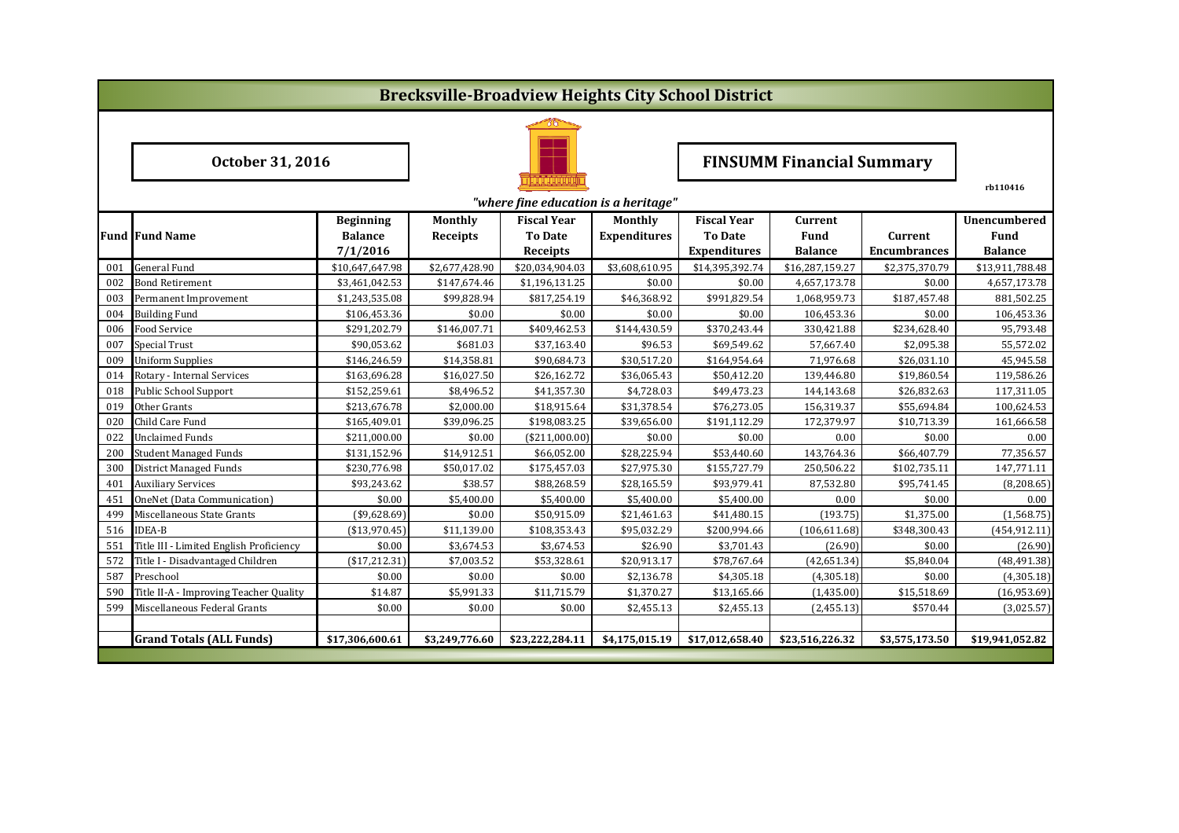|                                                  |                                         |                  |                 |                    |                                  | <b>Brecksville-Broadview Heights City School District</b> |                 |                     |                     |  |  |  |
|--------------------------------------------------|-----------------------------------------|------------------|-----------------|--------------------|----------------------------------|-----------------------------------------------------------|-----------------|---------------------|---------------------|--|--|--|
|                                                  |                                         |                  |                 |                    |                                  |                                                           |                 |                     |                     |  |  |  |
|                                                  | October 31, 2016                        |                  |                 |                    | <b>FINSUMM Financial Summary</b> |                                                           |                 |                     |                     |  |  |  |
| rb110416<br>"where fine education is a heritage" |                                         |                  |                 |                    |                                  |                                                           |                 |                     |                     |  |  |  |
|                                                  |                                         | <b>Beginning</b> | <b>Monthly</b>  | <b>Fiscal Year</b> | Monthly                          | <b>Fiscal Year</b>                                        | Current         |                     | <b>Unencumbered</b> |  |  |  |
|                                                  | <b>Fund Fund Name</b>                   | <b>Balance</b>   | <b>Receipts</b> | <b>To Date</b>     | <b>Expenditures</b>              | <b>To Date</b>                                            | <b>Fund</b>     | Current             | Fund                |  |  |  |
|                                                  |                                         | 7/1/2016         |                 | Receipts           |                                  | <b>Expenditures</b>                                       | <b>Balance</b>  | <b>Encumbrances</b> | <b>Balance</b>      |  |  |  |
| 001                                              | <b>General Fund</b>                     | \$10,647,647.98  | \$2,677,428.90  | \$20,034,904.03    | \$3,608,610.95                   | \$14,395,392.74                                           | \$16,287,159.27 | \$2,375,370.79      | \$13,911,788.48     |  |  |  |
| 002                                              | Bond Retirement                         | \$3,461,042.53   | \$147,674.46    | \$1,196,131.25     | \$0.00                           | \$0.00                                                    | 4,657,173.78    | \$0.00              | 4,657,173.78        |  |  |  |
| 003                                              | Permanent Improvement                   | \$1,243,535.08   | \$99,828.94     | \$817,254.19       | \$46,368.92                      | \$991,829.54                                              | 1,068,959.73    | \$187,457.48        | 881,502.25          |  |  |  |
| 004                                              | <b>Building Fund</b>                    | \$106,453.36     | \$0.00          | \$0.00             | \$0.00                           | \$0.00                                                    | 106,453.36      | \$0.00              | 106,453.36          |  |  |  |
| 006                                              | Food Service                            | \$291,202.79     | \$146,007.71    | \$409,462.53       | \$144,430.59                     | \$370,243.44                                              | 330,421.88      | \$234,628.40        | 95,793.48           |  |  |  |
| 007                                              | Special Trust                           | \$90,053.62      | \$681.03        | \$37,163.40        | \$96.53                          | \$69,549.62                                               | 57,667.40       | \$2,095.38          | 55,572.02           |  |  |  |
| 009                                              | <b>Uniform Supplies</b>                 | \$146,246.59     | \$14,358.81     | \$90,684.73        | \$30,517.20                      | \$164,954.64                                              | 71,976.68       | \$26,031.10         | 45,945.58           |  |  |  |
| 014                                              | Rotary - Internal Services              | \$163,696.28     | \$16,027.50     | \$26,162.72        | \$36,065.43                      | \$50,412.20                                               | 139,446.80      | \$19,860.54         | 119,586.26          |  |  |  |
| 018                                              | Public School Support                   | \$152,259.61     | \$8,496.52      | \$41,357.30        | \$4,728.03                       | \$49,473.23                                               | 144,143.68      | \$26,832.63         | 117,311.05          |  |  |  |
| 019                                              | Other Grants                            | \$213,676.78     | \$2,000.00      | \$18,915.64        | \$31,378.54                      | \$76,273.05                                               | 156,319.37      | \$55,694.84         | 100,624.53          |  |  |  |
| 020                                              | Child Care Fund                         | \$165,409.01     | \$39,096.25     | \$198,083.25       | \$39,656.00                      | \$191,112.29                                              | 172,379.97      | \$10,713.39         | 161,666.58          |  |  |  |
| 022                                              | <b>Unclaimed Funds</b>                  | \$211,000.00     | \$0.00          | ( \$211,000.00]    | \$0.00                           | \$0.00                                                    | 0.00            | \$0.00              | 0.00                |  |  |  |
| 200                                              | <b>Student Managed Funds</b>            | \$131,152.96     | \$14,912.51     | \$66,052.00        | \$28,225.94                      | \$53,440.60                                               | 143,764.36      | \$66,407.79         | 77,356.57           |  |  |  |
| 300                                              | District Managed Funds                  | \$230,776.98     | \$50,017.02     | \$175,457.03       | \$27,975.30                      | \$155,727.79                                              | 250,506.22      | \$102,735.11        | 147,771.11          |  |  |  |
| 401                                              | <b>Auxiliary Services</b>               | \$93,243.62      | \$38.57         | \$88,268.59        | \$28,165.59                      | \$93,979.41                                               | 87,532.80       | \$95,741.45         | (8,208.65)          |  |  |  |
| 451                                              | OneNet (Data Communication)             | \$0.00           | \$5,400.00      | \$5,400.00         | \$5,400.00                       | \$5,400.00                                                | 0.00            | \$0.00              | 0.00                |  |  |  |
| 499                                              | Miscellaneous State Grants              | $(*9,628.69)$    | \$0.00          | \$50,915.09        | \$21,461.63                      | \$41,480.15                                               | (193.75)        | \$1,375.00          | (1,568.75)          |  |  |  |
| 516                                              | <b>IDEA-B</b>                           | ( \$13,970.45)   | \$11,139.00     | \$108,353.43       | \$95,032.29                      | \$200,994.66                                              | (106, 611.68)   | \$348,300.43        | (454, 912.11)       |  |  |  |
| 551                                              | Title III - Limited English Proficiency | \$0.00           | \$3,674.53      | \$3,674.53         | \$26.90                          | \$3,701.43                                                | (26.90)         | \$0.00              | (26.90)             |  |  |  |
| 572                                              | Title I - Disadvantaged Children        | (\$17,212.31)    | \$7,003.52      | \$53,328.61        | \$20,913.17                      | \$78,767.64                                               | (42, 651.34)    | \$5,840.04          | (48, 491.38)        |  |  |  |
| 587                                              | Preschool                               | \$0.00           | \$0.00          | \$0.00             | \$2,136.78                       | \$4,305.18                                                | (4,305.18)      | \$0.00              | (4,305.18)          |  |  |  |
| 590                                              | Title II-A - Improving Teacher Quality  | \$14.87          | \$5,991.33      | \$11,715.79        | \$1,370.27                       | \$13,165.66                                               | (1,435.00)      | \$15,518.69         | (16,953.69)         |  |  |  |
| 599                                              | Miscellaneous Federal Grants            | \$0.00           | \$0.00          | \$0.00             | \$2,455.13                       | \$2,455.13                                                | (2,455.13)      | \$570.44            | (3,025.57)          |  |  |  |
|                                                  |                                         |                  |                 |                    |                                  |                                                           |                 |                     |                     |  |  |  |
|                                                  | <b>Grand Totals (ALL Funds)</b>         | \$17,306,600.61  | \$3,249,776.60  | \$23,222,284.11    | \$4,175,015.19                   | \$17,012,658.40                                           | \$23,516,226.32 | \$3,575,173.50      | \$19,941,052.82     |  |  |  |
|                                                  |                                         |                  |                 |                    |                                  |                                                           |                 |                     |                     |  |  |  |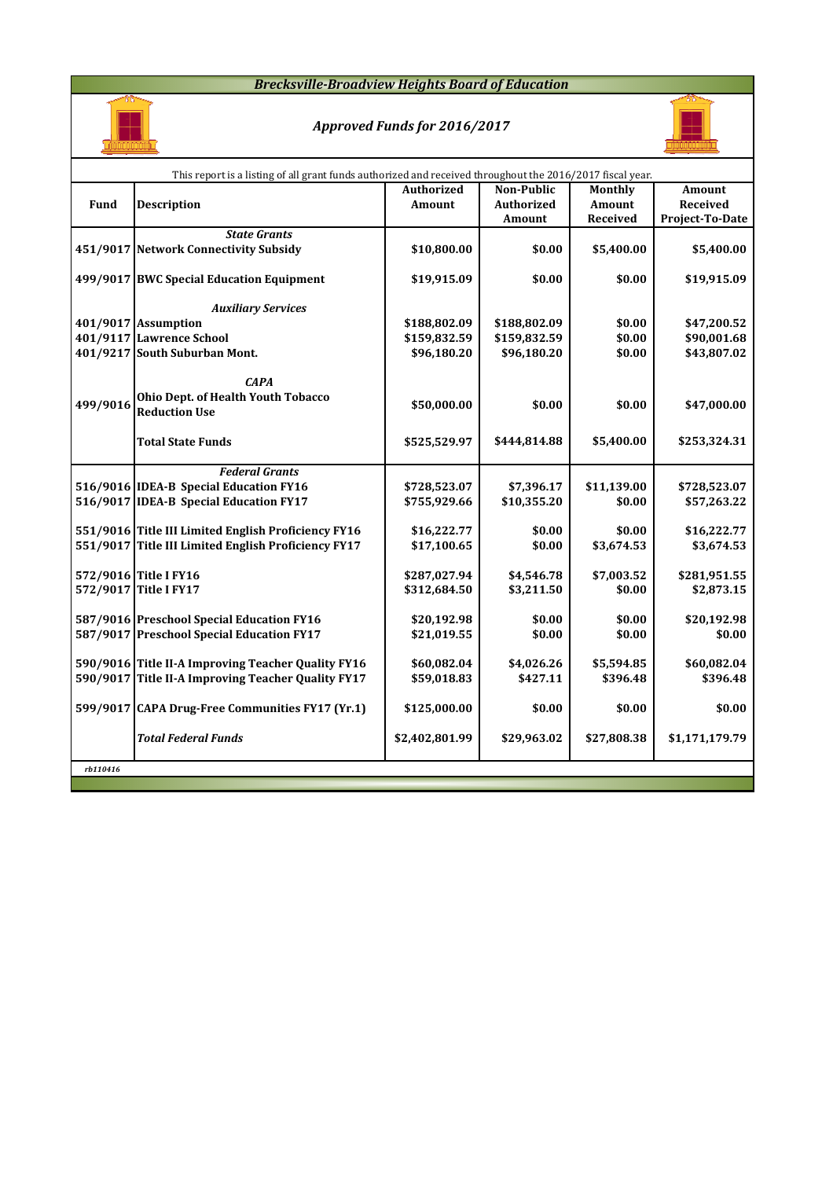## *Brecksville-Broadview Heights Board of Education*



# *Approved Funds for 2016/2017*



|          | This report is a listing of all grant funds authorized and received throughout the 2016/2017 fiscal year. |                   |                   |               |                 |
|----------|-----------------------------------------------------------------------------------------------------------|-------------------|-------------------|---------------|-----------------|
|          |                                                                                                           | <b>Authorized</b> | <b>Non-Public</b> | Monthly       | <b>Amount</b>   |
| Fund     | <b>Description</b>                                                                                        | Amount            | <b>Authorized</b> | <b>Amount</b> | Received        |
|          |                                                                                                           |                   | Amount            | Received      | Project-To-Date |
|          | <b>State Grants</b>                                                                                       |                   |                   |               |                 |
|          | 451/9017 Network Connectivity Subsidy                                                                     | \$10,800.00       | \$0.00            | \$5,400.00    | \$5,400.00      |
|          |                                                                                                           |                   |                   |               |                 |
|          | 499/9017 BWC Special Education Equipment                                                                  | \$19,915.09       | \$0.00            | \$0.00        | \$19,915.09     |
|          | <b>Auxiliary Services</b>                                                                                 |                   |                   |               |                 |
|          | 401/9017 Assumption                                                                                       | \$188,802.09      | \$188,802.09      | \$0.00        | \$47,200.52     |
|          | 401/9117 Lawrence School                                                                                  | \$159,832.59      | \$159,832.59      | \$0.00        | \$90,001.68     |
|          | 401/9217 South Suburban Mont.                                                                             | \$96,180.20       | \$96,180.20       | \$0.00        | \$43,807.02     |
|          |                                                                                                           |                   |                   |               |                 |
|          | <b>CAPA</b>                                                                                               |                   |                   |               |                 |
|          | Ohio Dept. of Health Youth Tobacco                                                                        |                   |                   |               |                 |
| 499/9016 | <b>Reduction Use</b>                                                                                      | \$50,000.00       | \$0.00            | \$0.00        | \$47,000.00     |
|          |                                                                                                           |                   |                   |               |                 |
|          | <b>Total State Funds</b>                                                                                  | \$525,529.97      | \$444,814.88      | \$5,400.00    | \$253,324.31    |
|          |                                                                                                           |                   |                   |               |                 |
|          | <b>Federal Grants</b>                                                                                     |                   |                   |               |                 |
|          | 516/9016 IDEA-B Special Education FY16                                                                    | \$728,523.07      | \$7,396.17        | \$11,139.00   | \$728,523.07    |
|          | 516/9017 IDEA-B Special Education FY17                                                                    | \$755,929.66      | \$10,355.20       | \$0.00        | \$57,263.22     |
|          |                                                                                                           |                   |                   |               |                 |
|          | 551/9016 Title III Limited English Proficiency FY16                                                       | \$16,222.77       | \$0.00            | \$0.00        | \$16,222.77     |
|          | 551/9017 Title III Limited English Proficiency FY17                                                       | \$17,100.65       | \$0.00            | \$3,674.53    | \$3,674.53      |
|          |                                                                                                           |                   |                   |               |                 |
|          | 572/9016 Title I FY16                                                                                     | \$287,027.94      | \$4,546.78        | \$7,003.52    | \$281,951.55    |
|          | 572/9017 Title I FY17                                                                                     | \$312,684.50      | \$3,211.50        | \$0.00        | \$2,873.15      |
|          |                                                                                                           |                   |                   |               |                 |
|          | 587/9016 Preschool Special Education FY16                                                                 | \$20,192.98       | \$0.00            | \$0.00        | \$20,192.98     |
|          | 587/9017 Preschool Special Education FY17                                                                 | \$21,019.55       | \$0.00            | \$0.00        | \$0.00          |
|          |                                                                                                           |                   |                   |               |                 |
|          | 590/9016 Title II-A Improving Teacher Quality FY16                                                        | \$60,082.04       | \$4,026.26        | \$5,594.85    | \$60,082.04     |
|          | 590/9017 Title II-A Improving Teacher Quality FY17                                                        | \$59,018.83       | \$427.11          | \$396.48      | \$396.48        |
|          |                                                                                                           |                   |                   |               |                 |
|          | 599/9017 CAPA Drug-Free Communities FY17 (Yr.1)                                                           | \$125,000.00      | \$0.00            | \$0.00        | \$0.00          |
|          |                                                                                                           |                   |                   |               |                 |
|          | <b>Total Federal Funds</b>                                                                                | \$2,402,801.99    | \$29,963.02       | \$27,808.38   | \$1,171,179.79  |
|          |                                                                                                           |                   |                   |               |                 |
| rb110416 |                                                                                                           |                   |                   |               |                 |
|          |                                                                                                           |                   |                   |               |                 |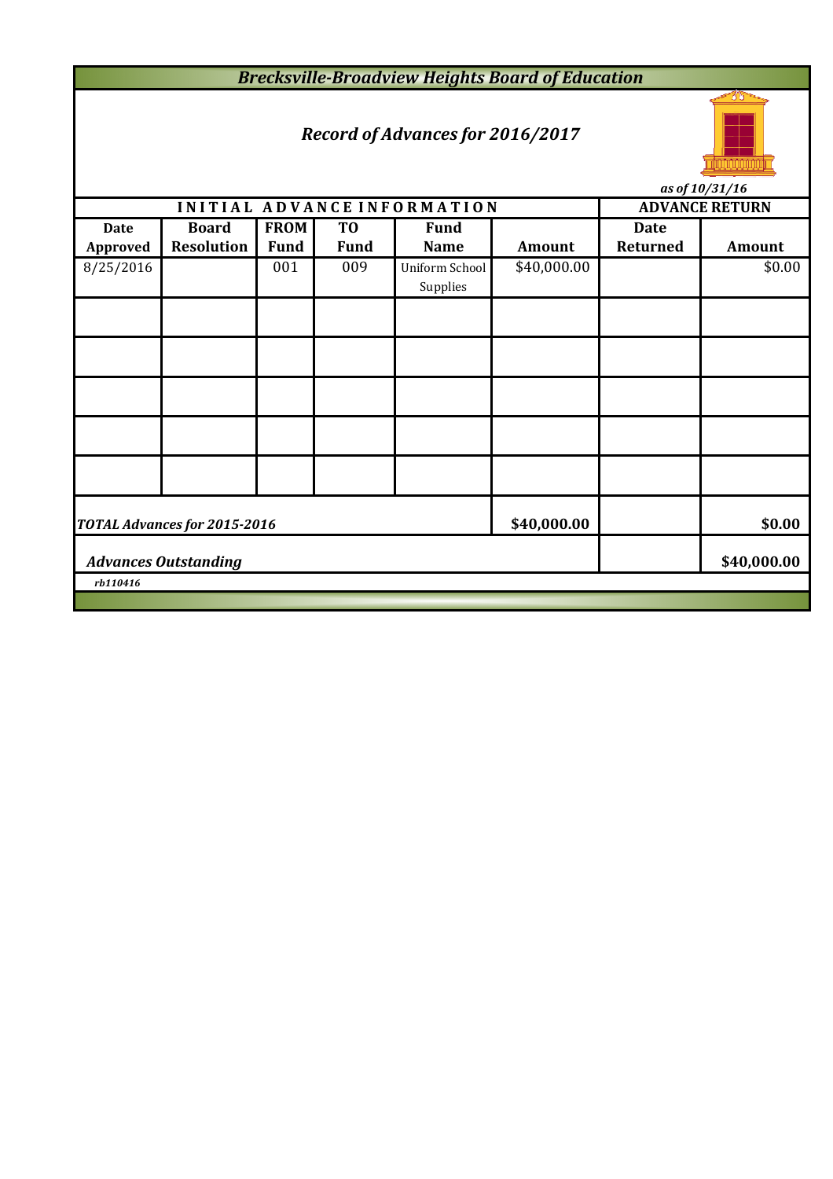*Brecksville-Broadview Heights Board of Education*

## *Record of Advances for 2016/2017*



**INITIAL ADVANCE INFORMATION ADVANCE RETURN Date Board FROM TO Fund Date Approved Resolution Fund Fund Name Amount Returned Amount** 8/25/2016 001 009 Uniform School \$40,000.00 \$0.00 Supplies **\$40,000.00 \$0.00 \$40,000.00** *rb110416 Advances Outstanding TOTAL Advances for 2015-2016*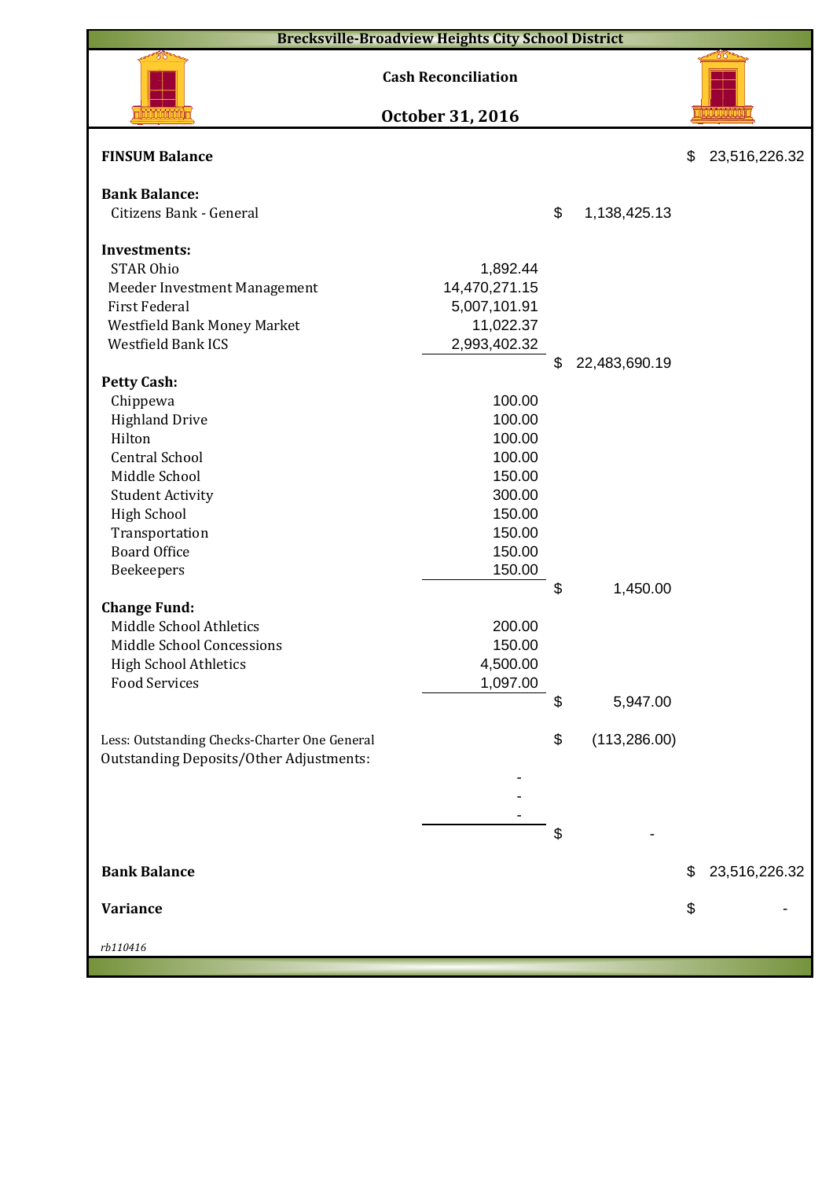|                                                                                                | <b>Brecksville-Broadview Heights City School District</b> |                     |                     |
|------------------------------------------------------------------------------------------------|-----------------------------------------------------------|---------------------|---------------------|
|                                                                                                | <b>Cash Reconciliation</b>                                |                     |                     |
|                                                                                                | October 31, 2016                                          |                     |                     |
| <b>FINSUM Balance</b>                                                                          |                                                           |                     | \$<br>23,516,226.32 |
| <b>Bank Balance:</b>                                                                           |                                                           |                     |                     |
| Citizens Bank - General                                                                        |                                                           | \$<br>1,138,425.13  |                     |
|                                                                                                |                                                           |                     |                     |
| <b>Investments:</b><br><b>STAR Ohio</b>                                                        |                                                           |                     |                     |
|                                                                                                | 1,892.44<br>14,470,271.15                                 |                     |                     |
| Meeder Investment Management<br><b>First Federal</b>                                           | 5,007,101.91                                              |                     |                     |
| Westfield Bank Money Market                                                                    | 11,022.37                                                 |                     |                     |
| Westfield Bank ICS                                                                             | 2,993,402.32                                              |                     |                     |
|                                                                                                |                                                           | \$<br>22,483,690.19 |                     |
| <b>Petty Cash:</b>                                                                             |                                                           |                     |                     |
| Chippewa                                                                                       | 100.00                                                    |                     |                     |
| <b>Highland Drive</b>                                                                          | 100.00                                                    |                     |                     |
| Hilton                                                                                         | 100.00                                                    |                     |                     |
| <b>Central School</b>                                                                          | 100.00                                                    |                     |                     |
| Middle School                                                                                  | 150.00                                                    |                     |                     |
| <b>Student Activity</b>                                                                        | 300.00                                                    |                     |                     |
| <b>High School</b>                                                                             | 150.00                                                    |                     |                     |
| Transportation                                                                                 | 150.00                                                    |                     |                     |
| <b>Board Office</b>                                                                            | 150.00                                                    |                     |                     |
| Beekeepers                                                                                     | 150.00                                                    |                     |                     |
|                                                                                                |                                                           | \$<br>1,450.00      |                     |
| <b>Change Fund:</b>                                                                            |                                                           |                     |                     |
| Middle School Athletics                                                                        | 200.00                                                    |                     |                     |
| Middle School Concessions                                                                      | 150.00                                                    |                     |                     |
| <b>High School Athletics</b>                                                                   | 4,500.00                                                  |                     |                     |
| <b>Food Services</b>                                                                           | 1,097.00                                                  |                     |                     |
|                                                                                                |                                                           | \$<br>5,947.00      |                     |
| Less: Outstanding Checks-Charter One General<br><b>Outstanding Deposits/Other Adjustments:</b> |                                                           | \$<br>(113, 286.00) |                     |
|                                                                                                |                                                           |                     |                     |
|                                                                                                |                                                           |                     |                     |
|                                                                                                |                                                           |                     |                     |
|                                                                                                |                                                           | \$                  |                     |
| <b>Bank Balance</b>                                                                            |                                                           |                     | \$<br>23,516,226.32 |
|                                                                                                |                                                           |                     |                     |
| <b>Variance</b>                                                                                |                                                           |                     | \$                  |
| rb110416                                                                                       |                                                           |                     |                     |
|                                                                                                |                                                           |                     |                     |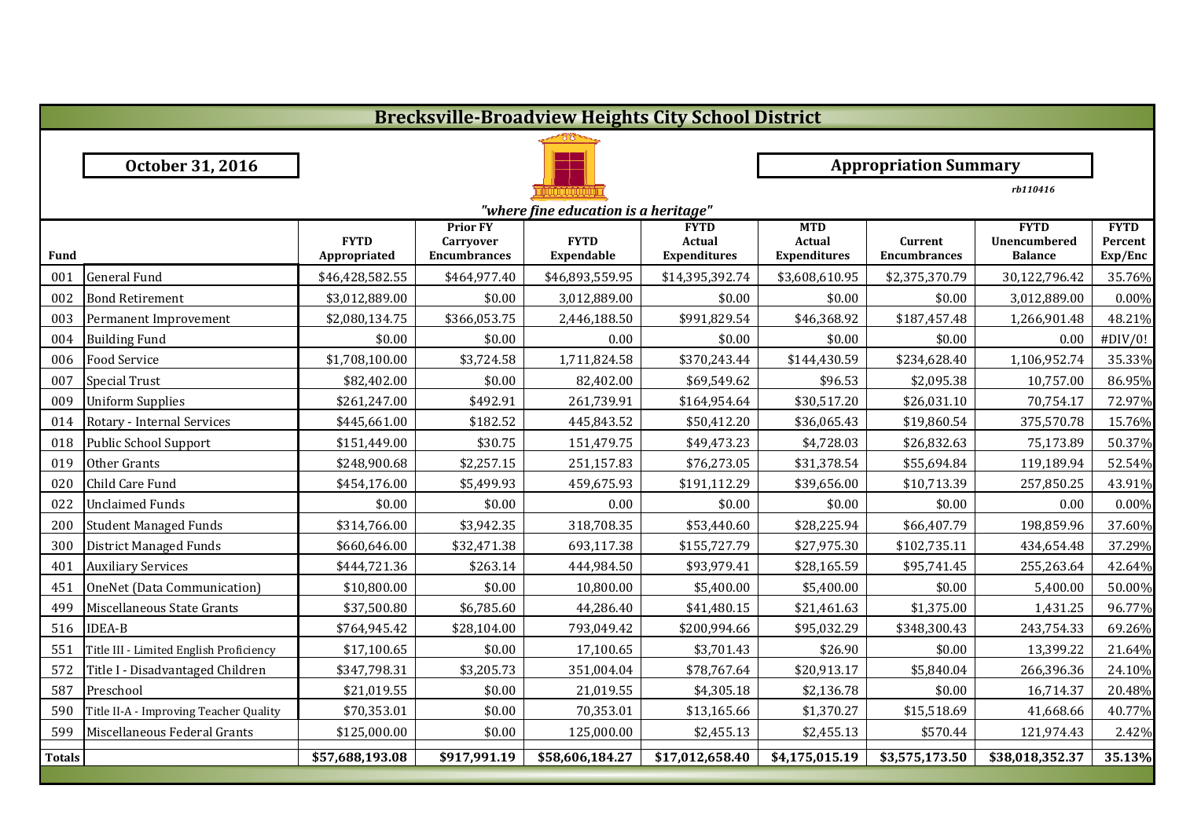|               | <b>Brecksville-Broadview Heights City School District</b> |                             |                                                     |                                      |                                              |                                             |                                |                                               |                                   |  |  |
|---------------|-----------------------------------------------------------|-----------------------------|-----------------------------------------------------|--------------------------------------|----------------------------------------------|---------------------------------------------|--------------------------------|-----------------------------------------------|-----------------------------------|--|--|
|               |                                                           |                             |                                                     |                                      |                                              |                                             |                                |                                               |                                   |  |  |
|               | October 31, 2016                                          |                             |                                                     |                                      |                                              |                                             | <b>Appropriation Summary</b>   |                                               |                                   |  |  |
|               |                                                           |                             |                                                     |                                      |                                              |                                             |                                | rb110416                                      |                                   |  |  |
|               |                                                           |                             |                                                     | "where fine education is a heritage" |                                              |                                             |                                |                                               |                                   |  |  |
| Fund          |                                                           | <b>FYTD</b><br>Appropriated | <b>Prior FY</b><br>Carryover<br><b>Encumbrances</b> | <b>FYTD</b><br><b>Expendable</b>     | <b>FYTD</b><br>Actual<br><b>Expenditures</b> | <b>MTD</b><br>Actual<br><b>Expenditures</b> | Current<br><b>Encumbrances</b> | <b>FYTD</b><br>Unencumbered<br><b>Balance</b> | <b>FYTD</b><br>Percent<br>Exp/Enc |  |  |
| 001           | <b>General Fund</b>                                       | \$46,428,582.55             | \$464,977.40                                        | \$46,893,559.95                      | \$14,395,392.74                              | \$3,608,610.95                              | \$2,375,370.79                 | 30,122,796.42                                 | 35.76%                            |  |  |
| 002           | <b>Bond Retirement</b>                                    | \$3,012,889.00              | \$0.00                                              | 3,012,889.00                         | \$0.00                                       | \$0.00                                      | \$0.00                         | 3,012,889.00                                  | 0.00%                             |  |  |
| 003           | Permanent Improvement                                     | \$2,080,134.75              | \$366,053.75                                        | 2,446,188.50                         | \$991,829.54                                 | \$46,368.92                                 | \$187,457.48                   | 1,266,901.48                                  | 48.21%                            |  |  |
| 004           | <b>Building Fund</b>                                      | \$0.00                      | \$0.00                                              | 0.00                                 | \$0.00                                       | \$0.00                                      | \$0.00                         | 0.00                                          | #DIV/0!                           |  |  |
| 006           | Food Service                                              | \$1,708,100.00              | \$3,724.58                                          | 1,711,824.58                         | \$370,243.44                                 | \$144,430.59                                | \$234,628.40                   | 1,106,952.74                                  | 35.33%                            |  |  |
| 007           | <b>Special Trust</b>                                      | \$82,402.00                 | \$0.00                                              | 82,402.00                            | \$69,549.62                                  | \$96.53                                     | \$2,095.38                     | 10,757.00                                     | 86.95%                            |  |  |
| 009           | <b>Uniform Supplies</b>                                   | \$261,247.00                | \$492.91                                            | 261,739.91                           | \$164,954.64                                 | \$30,517.20                                 | \$26,031.10                    | 70,754.17                                     | 72.97%                            |  |  |
| 014           | Rotary - Internal Services                                | \$445,661.00                | \$182.52                                            | 445,843.52                           | \$50,412.20                                  | \$36,065.43                                 | \$19,860.54                    | 375,570.78                                    | 15.76%                            |  |  |
| 018           | <b>Public School Support</b>                              | \$151,449.00                | \$30.75                                             | 151,479.75                           | \$49,473.23                                  | \$4,728.03                                  | \$26,832.63                    | 75,173.89                                     | 50.37%                            |  |  |
| 019           | Other Grants                                              | \$248,900.68                | \$2,257.15                                          | 251,157.83                           | \$76,273.05                                  | \$31,378.54                                 | \$55,694.84                    | 119,189.94                                    | 52.54%                            |  |  |
| 020           | Child Care Fund                                           | \$454,176.00                | \$5,499.93                                          | 459,675.93                           | \$191,112.29                                 | \$39,656.00                                 | \$10,713.39                    | 257,850.25                                    | 43.91%                            |  |  |
| 022           | <b>Unclaimed Funds</b>                                    | \$0.00                      | \$0.00                                              | 0.00                                 | \$0.00                                       | \$0.00                                      | \$0.00                         | 0.00                                          | 0.00%                             |  |  |
| 200           | <b>Student Managed Funds</b>                              | \$314,766.00                | \$3,942.35                                          | 318,708.35                           | \$53,440.60                                  | \$28,225.94                                 | \$66,407.79                    | 198,859.96                                    | 37.60%                            |  |  |
| 300           | <b>District Managed Funds</b>                             | \$660,646.00                | \$32,471.38                                         | 693,117.38                           | \$155,727.79                                 | \$27,975.30                                 | \$102,735.11                   | 434,654.48                                    | 37.29%                            |  |  |
| 401           | <b>Auxiliary Services</b>                                 | \$444,721.36                | \$263.14                                            | 444,984.50                           | \$93,979.41                                  | \$28,165.59                                 | \$95,741.45                    | 255,263.64                                    | 42.64%                            |  |  |
| 451           | OneNet (Data Communication)                               | \$10,800.00                 | \$0.00                                              | 10,800.00                            | \$5,400.00                                   | \$5,400.00                                  | \$0.00                         | 5,400.00                                      | 50.00%                            |  |  |
| 499           | Miscellaneous State Grants                                | \$37,500.80                 | \$6,785.60                                          | 44,286.40                            | \$41,480.15                                  | \$21,461.63                                 | \$1,375.00                     | 1,431.25                                      | 96.77%                            |  |  |
| 516           | <b>IDEA-B</b>                                             | \$764,945.42                | \$28,104.00                                         | 793,049.42                           | \$200,994.66                                 | \$95,032.29                                 | \$348,300.43                   | 243,754.33                                    | 69.26%                            |  |  |
| 551           | Title III - Limited English Proficiency                   | \$17,100.65                 | \$0.00                                              | 17,100.65                            | \$3,701.43                                   | \$26.90                                     | \$0.00                         | 13,399.22                                     | 21.64%                            |  |  |
| 572           | Title I - Disadvantaged Children                          | \$347,798.31                | \$3,205.73                                          | 351,004.04                           | \$78,767.64                                  | \$20,913.17                                 | \$5,840.04                     | 266,396.36                                    | 24.10%                            |  |  |
| 587           | Preschool                                                 | \$21,019.55                 | \$0.00                                              | 21,019.55                            | \$4,305.18                                   | \$2,136.78                                  | \$0.00                         | 16,714.37                                     | 20.48%                            |  |  |
| 590           | Title II-A - Improving Teacher Quality                    | \$70,353.01                 | \$0.00                                              | 70,353.01                            | \$13,165.66                                  | \$1,370.27                                  | \$15,518.69                    | 41,668.66                                     | 40.77%                            |  |  |
| 599           | Miscellaneous Federal Grants                              | \$125,000.00                | \$0.00                                              | 125,000.00                           | \$2,455.13                                   | \$2,455.13                                  | \$570.44                       | 121,974.43                                    | 2.42%                             |  |  |
| <b>Totals</b> |                                                           | \$57,688,193.08             | \$917,991.19                                        | \$58,606,184.27                      | \$17,012,658.40                              | \$4,175,015.19                              | \$3,575,173.50                 | \$38,018,352.37                               | 35.13%                            |  |  |